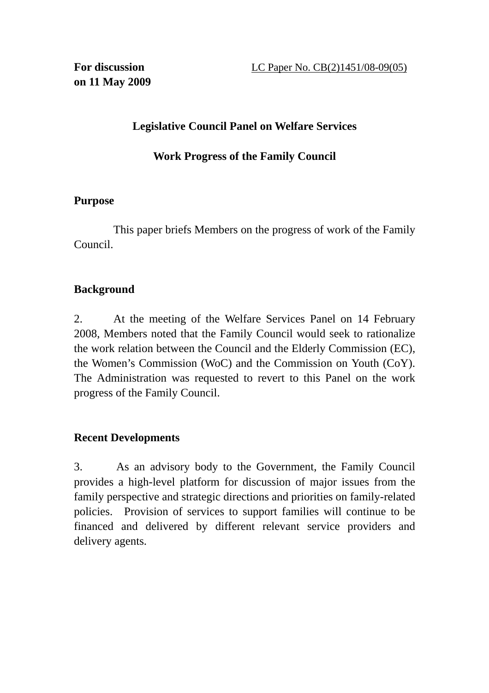# **Legislative Council Panel on Welfare Services**

### **Work Progress of the Family Council**

#### **Purpose**

This paper briefs Members on the progress of work of the Family Council.

# **Background**

2. At the meeting of the Welfare Services Panel on 14 February 2008, Members noted that the Family Council would seek to rationalize the work relation between the Council and the Elderly Commission (EC), the Women's Commission (WoC) and the Commission on Youth (CoY). The Administration was requested to revert to this Panel on the work progress of the Family Council.

## **Recent Developments**

3. As an advisory body to the Government, the Family Council provides a high-level platform for discussion of major issues from the family perspective and strategic directions and priorities on family-related policies. Provision of services to support families will continue to be financed and delivered by different relevant service providers and delivery agents.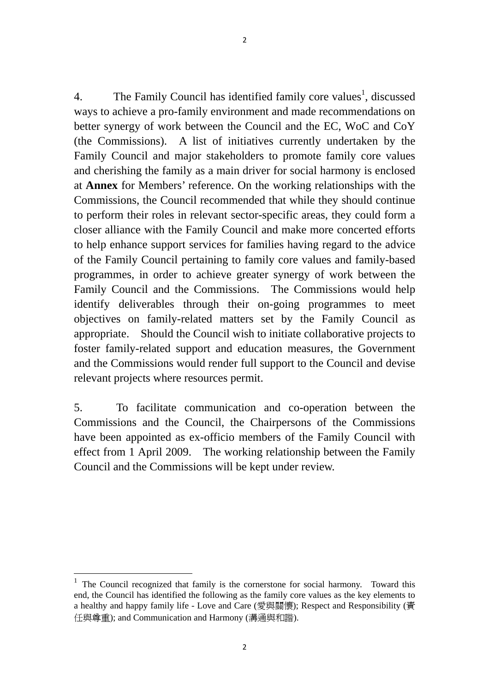4. The Family Council has identified family core values<sup>1</sup>, discussed ways to achieve a pro-family environment and made recommendations on better synergy of work between the Council and the EC, WoC and CoY (the Commissions). A list of initiatives currently undertaken by the Family Council and major stakeholders to promote family core values and cherishing the family as a main driver for social harmony is enclosed at **Annex** for Members' reference. On the working relationships with the Commissions, the Council recommended that while they should continue to perform their roles in relevant sector-specific areas, they could form a closer alliance with the Family Council and make more concerted efforts to help enhance support services for families having regard to the advice of the Family Council pertaining to family core values and family-based programmes, in order to achieve greater synergy of work between the Family Council and the Commissions. The Commissions would help identify deliverables through their on-going programmes to meet objectives on family-related matters set by the Family Council as appropriate. Should the Council wish to initiate collaborative projects to foster family-related support and education measures, the Government and the Commissions would render full support to the Council and devise relevant projects where resources permit.

5. To facilitate communication and co-operation between the Commissions and the Council, the Chairpersons of the Commissions have been appointed as ex-officio members of the Family Council with effect from 1 April 2009. The working relationship between the Family Council and the Commissions will be kept under review.

 $\overline{a}$ 

<sup>&</sup>lt;sup>1</sup> The Council recognized that family is the cornerstone for social harmony. Toward this end, the Council has identified the following as the family core values as the key elements to a healthy and happy family life - Love and Care (愛與關懷); Respect and Responsibility (責 任與尊重); and Communication and Harmony (溝通與和諧).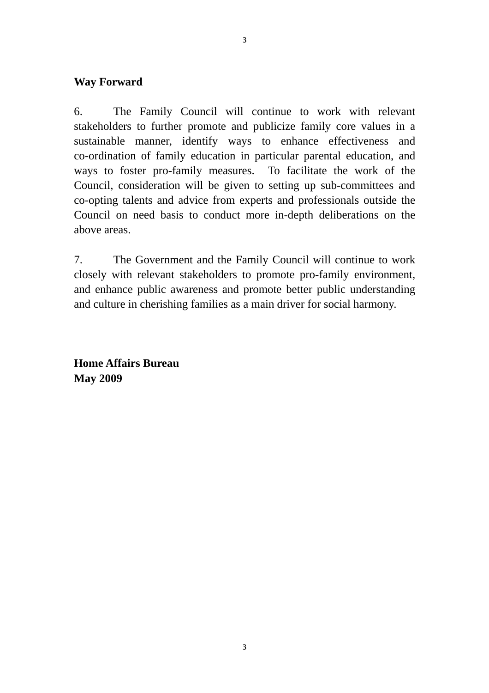#### **Way Forward**

6. The Family Council will continue to work with relevant stakeholders to further promote and publicize family core values in a sustainable manner, identify ways to enhance effectiveness and co-ordination of family education in particular parental education, and ways to foster pro-family measures. To facilitate the work of the Council, consideration will be given to setting up sub-committees and co-opting talents and advice from experts and professionals outside the Council on need basis to conduct more in-depth deliberations on the above areas.

7. The Government and the Family Council will continue to work closely with relevant stakeholders to promote pro-family environment, and enhance public awareness and promote better public understanding and culture in cherishing families as a main driver for social harmony.

**Home Affairs Bureau May 2009**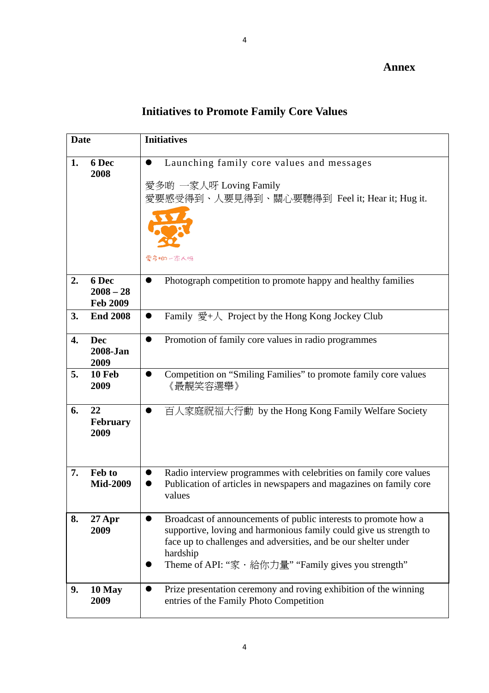# **Initiatives to Promote Family Core Values**

| <b>Date</b> |                                         | <b>Initiatives</b>                                                                                                                                                                                                                                                           |
|-------------|-----------------------------------------|------------------------------------------------------------------------------------------------------------------------------------------------------------------------------------------------------------------------------------------------------------------------------|
| 1.          | 6 Dec<br>2008                           | Launching family core values and messages<br>愛多啲 一家人呀 Loving Family<br>愛要感受得到、人要見得到、關心要聽得到 Feel it; Hear it; Hug it.<br>愛希帕一宗人呀                                                                                                                                              |
| 2.          | 6 Dec<br>$2008 - 28$<br><b>Feb 2009</b> | Photograph competition to promote happy and healthy families<br>$\bullet$                                                                                                                                                                                                    |
| 3.          | <b>End 2008</b>                         | Family 愛+人 Project by the Hong Kong Jockey Club<br>$\bullet$                                                                                                                                                                                                                 |
| 4.          | <b>Dec</b><br>2008-Jan<br>2009          | Promotion of family core values in radio programmes<br>$\bullet$                                                                                                                                                                                                             |
| 5.          | 10 Feb<br>2009                          | Competition on "Smiling Families" to promote family core values<br>《最靚笑容選舉》                                                                                                                                                                                                  |
| 6.          | 22<br><b>February</b><br>2009           | 百人家庭祝福大行動 by the Hong Kong Family Welfare Society<br>$\bullet$                                                                                                                                                                                                               |
| 7.          | Feb to<br><b>Mid-2009</b>               | Radio interview programmes with celebrities on family core values<br>Publication of articles in newspapers and magazines on family core<br>values                                                                                                                            |
| 8.          | $27$ Apr<br>2009                        | Broadcast of announcements of public interests to promote how a<br>supportive, loving and harmonious family could give us strength to<br>face up to challenges and adversities, and be our shelter under<br>hardship<br>Theme of API: "家 · 給你力量" "Family gives you strength" |
| 9.          | 10 May<br>2009                          | Prize presentation ceremony and roving exhibition of the winning<br>entries of the Family Photo Competition                                                                                                                                                                  |